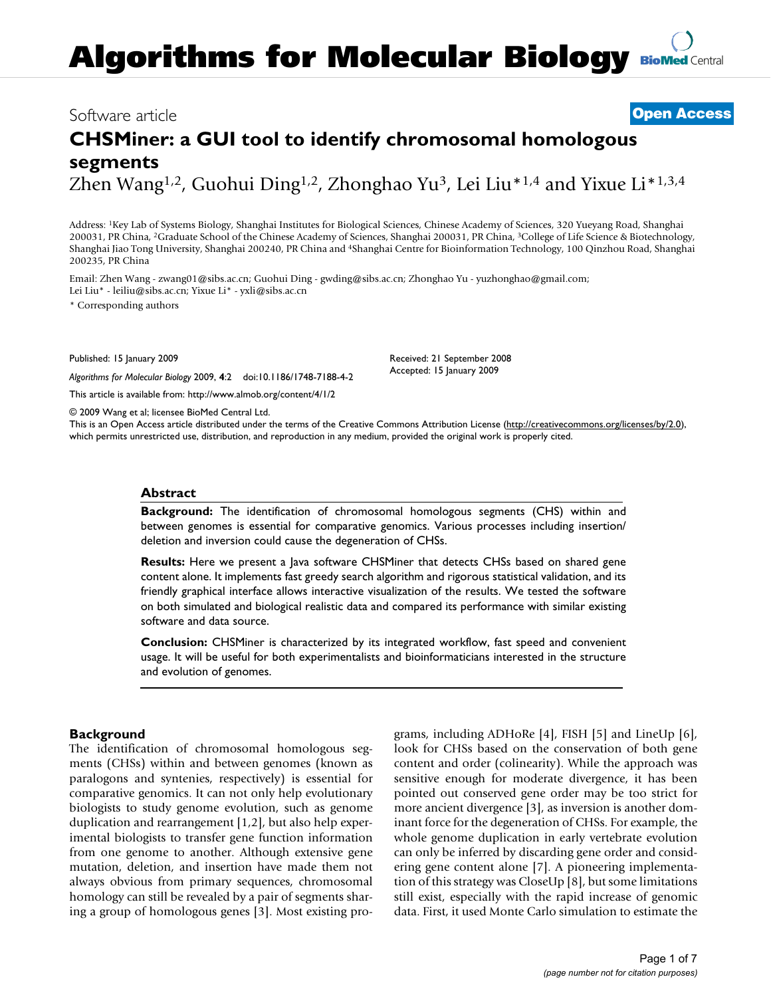# **[BioMed](http://www.biomedcentral.com/)** Central **Algorithms for Molecular Biology**

# Software article **[Open Access](http://www.biomedcentral.com/info/about/charter/)**

# **CHSMiner: a GUI tool to identify chromosomal homologous segments** Zhen Wang<sup>1,2</sup>, Guohui Ding<sup>1,2</sup>, Zhonghao Yu<sup>3</sup>, Lei Liu<sup>\*1,4</sup> and Yixue Li<sup>\*1,3,4</sup>

Address: 1Key Lab of Systems Biology, Shanghai Institutes for Biological Sciences, Chinese Academy of Sciences, 320 Yueyang Road, Shanghai 200031, PR China, 2Graduate School of the Chinese Academy of Sciences, Shanghai 200031, PR China, 3College of Life Science & Biotechnology, Shanghai Jiao Tong University, Shanghai 200240, PR China and 4Shanghai Centre for Bioinformation Technology, 100 Qinzhou Road, Shanghai 200235, PR China

Email: Zhen Wang - zwang01@sibs.ac.cn; Guohui Ding - gwding@sibs.ac.cn; Zhonghao Yu - yuzhonghao@gmail.com; Lei Liu\* - leiliu@sibs.ac.cn; Yixue Li\* - yxli@sibs.ac.cn

\* Corresponding authors

Published: 15 January 2009

*Algorithms for Molecular Biology* 2009, **4**:2 doi:10.1186/1748-7188-4-2

[This article is available from: http://www.almob.org/content/4/1/2](http://www.almob.org/content/4/1/2)

© 2009 Wang et al; licensee BioMed Central Ltd.

This is an Open Access article distributed under the terms of the Creative Commons Attribution License [\(http://creativecommons.org/licenses/by/2.0\)](http://creativecommons.org/licenses/by/2.0), which permits unrestricted use, distribution, and reproduction in any medium, provided the original work is properly cited.

Received: 21 September 2008 Accepted: 15 January 2009

#### **Abstract**

**Background:** The identification of chromosomal homologous segments (CHS) within and between genomes is essential for comparative genomics. Various processes including insertion/ deletion and inversion could cause the degeneration of CHSs.

**Results:** Here we present a Java software CHSMiner that detects CHSs based on shared gene content alone. It implements fast greedy search algorithm and rigorous statistical validation, and its friendly graphical interface allows interactive visualization of the results. We tested the software on both simulated and biological realistic data and compared its performance with similar existing software and data source.

**Conclusion:** CHSMiner is characterized by its integrated workflow, fast speed and convenient usage. It will be useful for both experimentalists and bioinformaticians interested in the structure and evolution of genomes.

#### **Background**

The identification of chromosomal homologous segments (CHSs) within and between genomes (known as paralogons and syntenies, respectively) is essential for comparative genomics. It can not only help evolutionary biologists to study genome evolution, such as genome duplication and rearrangement [1,2], but also help experimental biologists to transfer gene function information from one genome to another. Although extensive gene mutation, deletion, and insertion have made them not always obvious from primary sequences, chromosomal homology can still be revealed by a pair of segments sharing a group of homologous genes [3]. Most existing programs, including ADHoRe [4], FISH [5] and LineUp [6], look for CHSs based on the conservation of both gene content and order (colinearity). While the approach was sensitive enough for moderate divergence, it has been pointed out conserved gene order may be too strict for more ancient divergence [3], as inversion is another dominant force for the degeneration of CHSs. For example, the whole genome duplication in early vertebrate evolution can only be inferred by discarding gene order and considering gene content alone [7]. A pioneering implementation of this strategy was CloseUp [8], but some limitations still exist, especially with the rapid increase of genomic data. First, it used Monte Carlo simulation to estimate the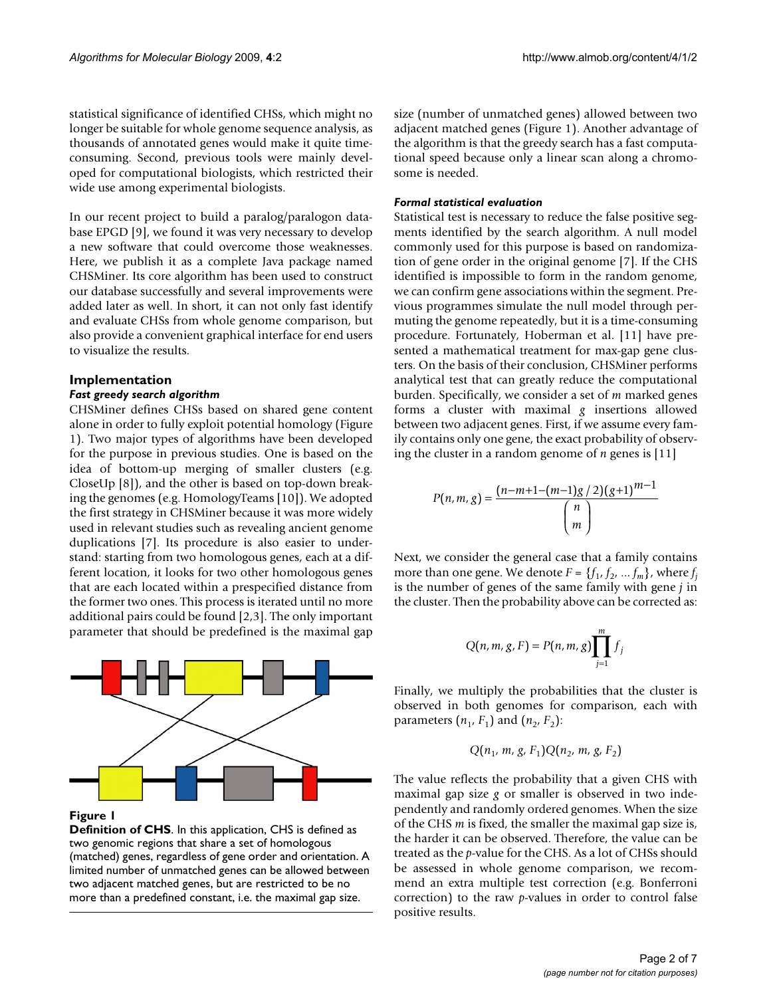statistical significance of identified CHSs, which might no longer be suitable for whole genome sequence analysis, as thousands of annotated genes would make it quite timeconsuming. Second, previous tools were mainly developed for computational biologists, which restricted their wide use among experimental biologists.

In our recent project to build a paralog/paralogon database EPGD [9], we found it was very necessary to develop a new software that could overcome those weaknesses. Here, we publish it as a complete Java package named CHSMiner. Its core algorithm has been used to construct our database successfully and several improvements were added later as well. In short, it can not only fast identify and evaluate CHSs from whole genome comparison, but also provide a convenient graphical interface for end users to visualize the results.

## **Implementation**

#### *Fast greedy search algorithm*

CHSMiner defines CHSs based on shared gene content alone in order to fully exploit potential homology (Figure 1). Two major types of algorithms have been developed for the purpose in previous studies. One is based on the idea of bottom-up merging of smaller clusters (e.g. CloseUp [8]), and the other is based on top-down breaking the genomes (e.g. HomologyTeams [10]). We adopted the first strategy in CHSMiner because it was more widely used in relevant studies such as revealing ancient genome duplications [7]. Its procedure is also easier to understand: starting from two homologous genes, each at a different location, it looks for two other homologous genes that are each located within a prespecified distance from the former two ones. This process is iterated until no more additional pairs could be found [2,3]. The only important parameter that should be predefined is the maximal gap



#### **Figure 1**

**Definition of CHS**. In this application, CHS is defined as two genomic regions that share a set of homologous (matched) genes, regardless of gene order and orientation. A limited number of unmatched genes can be allowed between two adjacent matched genes, but are restricted to be no more than a predefined constant, i.e. the maximal gap size.

size (number of unmatched genes) allowed between two adjacent matched genes (Figure 1). Another advantage of the algorithm is that the greedy search has a fast computational speed because only a linear scan along a chromosome is needed.

#### *Formal statistical evaluation*

Statistical test is necessary to reduce the false positive segments identified by the search algorithm. A null model commonly used for this purpose is based on randomization of gene order in the original genome [7]. If the CHS identified is impossible to form in the random genome, we can confirm gene associations within the segment. Previous programmes simulate the null model through permuting the genome repeatedly, but it is a time-consuming procedure. Fortunately, Hoberman et al. [11] have presented a mathematical treatment for max-gap gene clusters. On the basis of their conclusion, CHSMiner performs analytical test that can greatly reduce the computational burden. Specifically, we consider a set of *m* marked genes forms a cluster with maximal *g* insertions allowed between two adjacent genes. First, if we assume every family contains only one gene, the exact probability of observing the cluster in a random genome of *n* genes is [11]

$$
P(n, m, g) = \frac{(n-m+1-(m-1)g/2)(g+1)^{m-1}}{\binom{n}{m}}
$$

Next, we consider the general case that a family contains more than one gene. We denote  $F = \{f_1, f_2, ..., f_m\}$ , where  $f_i$ is the number of genes of the same family with gene *j* in the cluster. Then the probability above can be corrected as:

$$
Q(n, m, g, F) = P(n, m, g) \prod_{j=1}^{m} f_j
$$

Finally, we multiply the probabilities that the cluster is observed in both genomes for comparison, each with parameters  $(n_1, F_1)$  and  $(n_2, F_2)$ :

$$
Q(n_1,\,m,\,g,\,F_1)Q(n_2,\,m,\,g,\,F_2)
$$

The value reflects the probability that a given CHS with maximal gap size *g* or smaller is observed in two independently and randomly ordered genomes. When the size of the CHS *m* is fixed, the smaller the maximal gap size is, the harder it can be observed. Therefore, the value can be treated as the *p*-value for the CHS. As a lot of CHSs should be assessed in whole genome comparison, we recommend an extra multiple test correction (e.g. Bonferroni correction) to the raw *p*-values in order to control false positive results.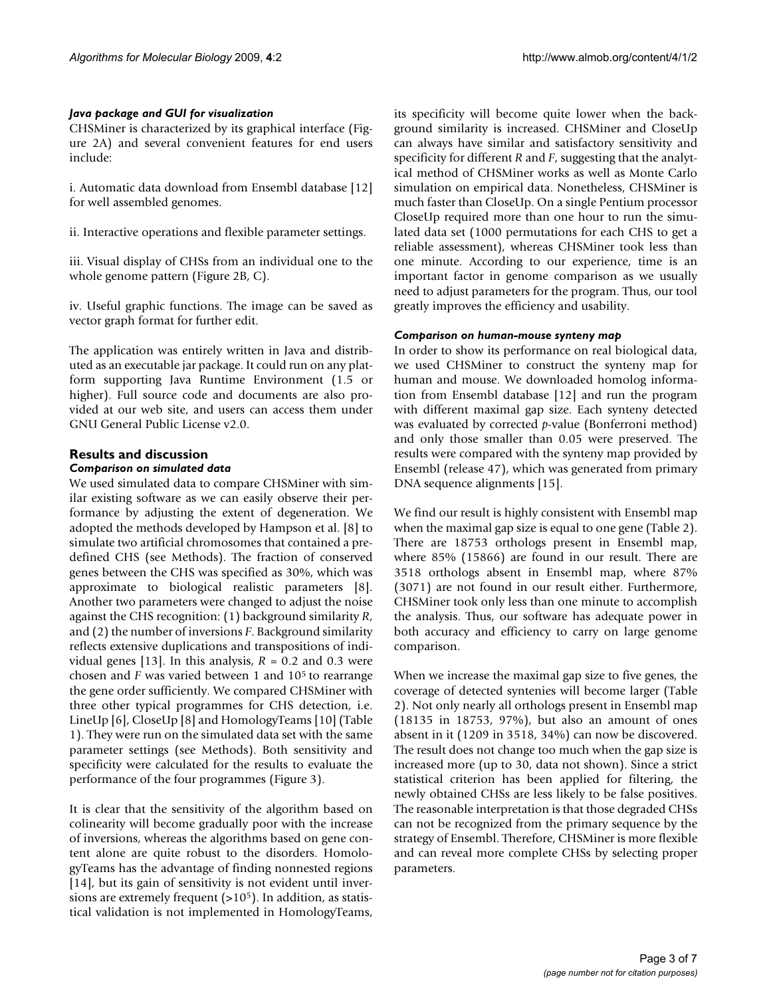#### *Java package and GUI for visualization*

CHSMiner is characterized by its graphical interface (Figure 2A) and several convenient features for end users include:

i. Automatic data download from Ensembl database [12] for well assembled genomes.

ii. Interactive operations and flexible parameter settings.

iii. Visual display of CHSs from an individual one to the whole genome pattern (Figure 2B, C).

iv. Useful graphic functions. The image can be saved as vector graph format for further edit.

The application was entirely written in Java and distributed as an executable jar package. It could run on any platform supporting Java Runtime Environment (1.5 or higher). Full source code and documents are also provided at our web site, and users can access them under GNU General Public License v2.0.

#### **Results and discussion** *Comparison on simulated data*

We used simulated data to compare CHSMiner with similar existing software as we can easily observe their performance by adjusting the extent of degeneration. We adopted the methods developed by Hampson et al. [8] to simulate two artificial chromosomes that contained a predefined CHS (see Methods). The fraction of conserved genes between the CHS was specified as 30%, which was approximate to biological realistic parameters [8]. Another two parameters were changed to adjust the noise against the CHS recognition: (1) background similarity *R*, and (2) the number of inversions *F*. Background similarity reflects extensive duplications and transpositions of individual genes [13]. In this analysis,  $R = 0.2$  and 0.3 were chosen and *F* was varied between 1 and 105 to rearrange the gene order sufficiently. We compared CHSMiner with three other typical programmes for CHS detection, i.e. LineUp [6], CloseUp [8] and HomologyTeams [10] (Table 1). They were run on the simulated data set with the same parameter settings (see Methods). Both sensitivity and specificity were calculated for the results to evaluate the performance of the four programmes (Figure 3).

It is clear that the sensitivity of the algorithm based on colinearity will become gradually poor with the increase of inversions, whereas the algorithms based on gene content alone are quite robust to the disorders. HomologyTeams has the advantage of finding nonnested regions [14], but its gain of sensitivity is not evident until inversions are extremely frequent  $(>10<sup>5</sup>)$ . In addition, as statistical validation is not implemented in HomologyTeams,

its specificity will become quite lower when the background similarity is increased. CHSMiner and CloseUp can always have similar and satisfactory sensitivity and specificity for different *R* and *F*, suggesting that the analytical method of CHSMiner works as well as Monte Carlo simulation on empirical data. Nonetheless, CHSMiner is much faster than CloseUp. On a single Pentium processor CloseUp required more than one hour to run the simulated data set (1000 permutations for each CHS to get a reliable assessment), whereas CHSMiner took less than one minute. According to our experience, time is an important factor in genome comparison as we usually need to adjust parameters for the program. Thus, our tool greatly improves the efficiency and usability.

#### *Comparison on human-mouse synteny map*

In order to show its performance on real biological data, we used CHSMiner to construct the synteny map for human and mouse. We downloaded homolog information from Ensembl database [12] and run the program with different maximal gap size. Each synteny detected was evaluated by corrected *p*-value (Bonferroni method) and only those smaller than 0.05 were preserved. The results were compared with the synteny map provided by Ensembl (release 47), which was generated from primary DNA sequence alignments [15].

We find our result is highly consistent with Ensembl map when the maximal gap size is equal to one gene (Table 2). There are 18753 orthologs present in Ensembl map, where 85% (15866) are found in our result. There are 3518 orthologs absent in Ensembl map, where 87% (3071) are not found in our result either. Furthermore, CHSMiner took only less than one minute to accomplish the analysis. Thus, our software has adequate power in both accuracy and efficiency to carry on large genome comparison.

When we increase the maximal gap size to five genes, the coverage of detected syntenies will become larger (Table 2). Not only nearly all orthologs present in Ensembl map (18135 in 18753, 97%), but also an amount of ones absent in it (1209 in 3518, 34%) can now be discovered. The result does not change too much when the gap size is increased more (up to 30, data not shown). Since a strict statistical criterion has been applied for filtering, the newly obtained CHSs are less likely to be false positives. The reasonable interpretation is that those degraded CHSs can not be recognized from the primary sequence by the strategy of Ensembl. Therefore, CHSMiner is more flexible and can reveal more complete CHSs by selecting proper parameters.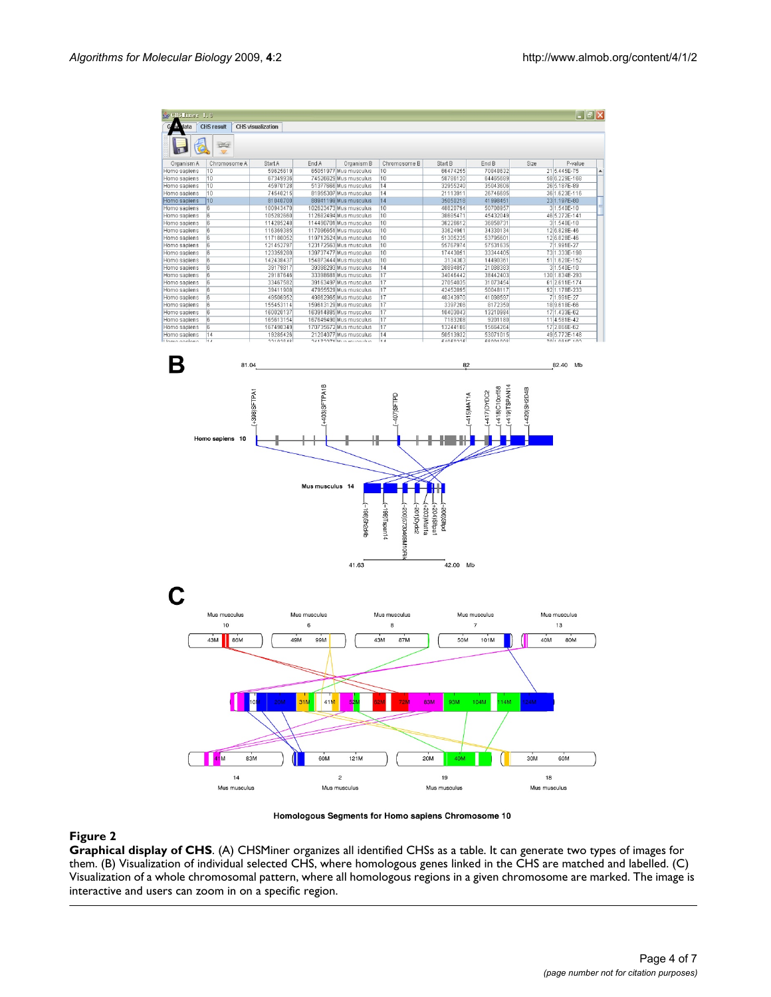

Homologous Segments for Homo sapiens Chromosome 10

#### **Figure 2**

**Graphical display of CHS**. (A) CHSMiner organizes all identified CHSs as a table. It can generate two types of images for them. (B) Visualization of individual selected CHS, where homologous genes linked in the CHS are matched and labelled. (C) Visualization of a whole chromosomal pattern, where all homologous regions in a given chromosome are marked. The image is interactive and users can zoom in on a specific region.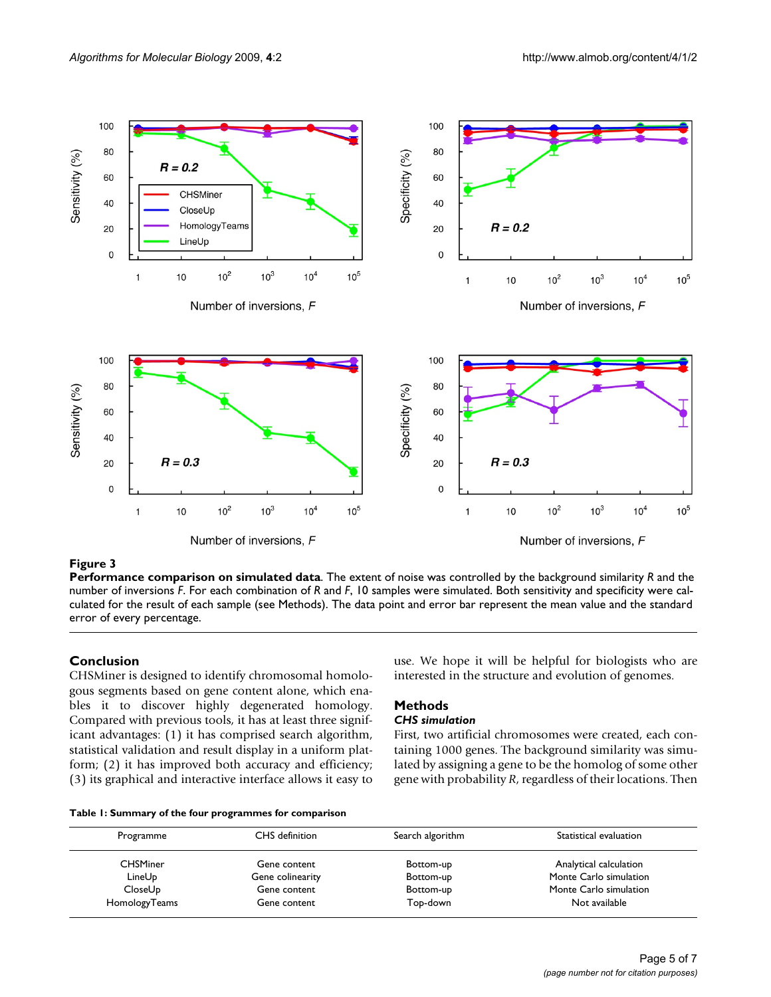

## **Figure 3**

**Performance comparison on simulated data**. The extent of noise was controlled by the background similarity *R* and the number of inversions *F*. For each combination of *R* and *F*, 10 samples were simulated. Both sensitivity and specificity were calculated for the result of each sample (see Methods). The data point and error bar represent the mean value and the standard error of every percentage.

## **Conclusion**

CHSMiner is designed to identify chromosomal homologous segments based on gene content alone, which enables it to discover highly degenerated homology. Compared with previous tools, it has at least three significant advantages: (1) it has comprised search algorithm, statistical validation and result display in a uniform platform; (2) it has improved both accuracy and efficiency; (3) its graphical and interactive interface allows it easy to use. We hope it will be helpful for biologists who are interested in the structure and evolution of genomes.

# **Methods**

## *CHS simulation*

First, two artificial chromosomes were created, each containing 1000 genes. The background similarity was simulated by assigning a gene to be the homolog of some other gene with probability *R*, regardless of their locations. Then

| Table 1: Summary of the four programmes for comparison |  |  |  |
|--------------------------------------------------------|--|--|--|
|--------------------------------------------------------|--|--|--|

| Programme       | CHS definition   | Search algorithm | Statistical evaluation |
|-----------------|------------------|------------------|------------------------|
| <b>CHSMiner</b> | Gene content     | Bottom-up        | Analytical calculation |
| LineUp          | Gene colinearity | Bottom-up        | Monte Carlo simulation |
| CloseUp         | Gene content     | Bottom-up        | Monte Carlo simulation |
| HomologyTeams   | Gene content     | Top-down         | Not available          |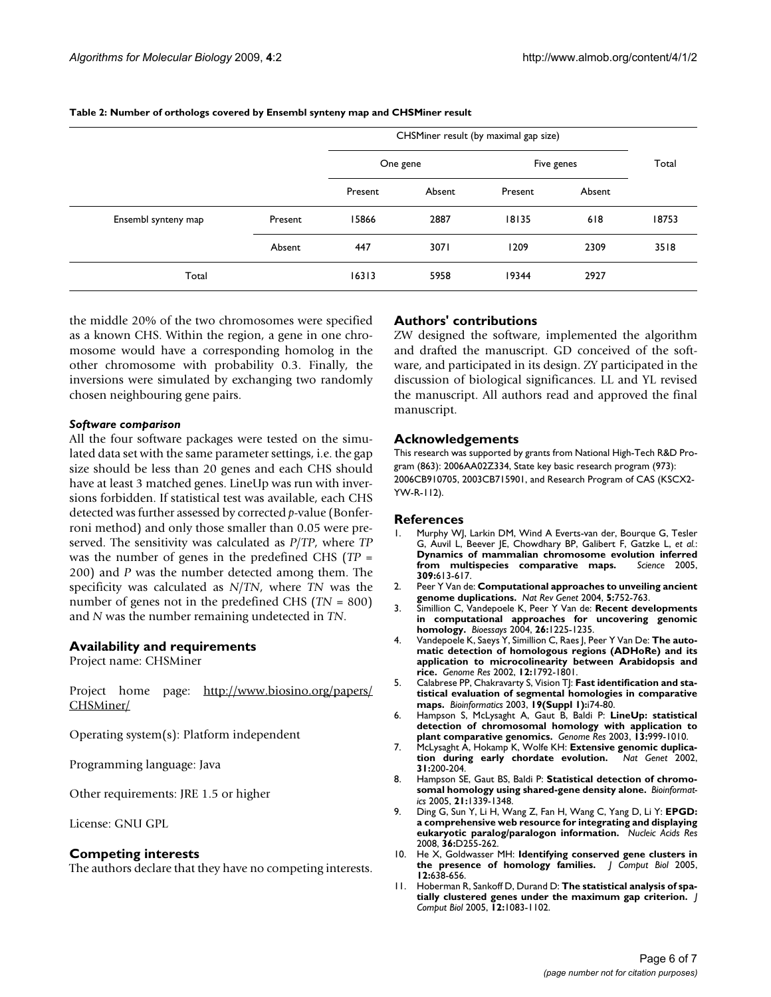|                     |         | CHSMiner result (by maximal gap size) |        |            |        |       |
|---------------------|---------|---------------------------------------|--------|------------|--------|-------|
|                     |         | One gene                              |        | Five genes |        | Total |
|                     |         | Present                               | Absent | Present    | Absent |       |
| Ensembl synteny map | Present | 15866                                 | 2887   | 18135      | 618    | 18753 |
|                     | Absent  | 447                                   | 3071   | 1209       | 2309   | 3518  |
| Total               |         | 16313                                 | 5958   | 19344      | 2927   |       |

**Table 2: Number of orthologs covered by Ensembl synteny map and CHSMiner result**

the middle 20% of the two chromosomes were specified as a known CHS. Within the region, a gene in one chromosome would have a corresponding homolog in the other chromosome with probability 0.3. Finally, the inversions were simulated by exchanging two randomly chosen neighbouring gene pairs.

#### *Software comparison*

All the four software packages were tested on the simulated data set with the same parameter settings, i.e. the gap size should be less than 20 genes and each CHS should have at least 3 matched genes. LineUp was run with inversions forbidden. If statistical test was available, each CHS detected was further assessed by corrected *p*-value (Bonferroni method) and only those smaller than 0.05 were preserved. The sensitivity was calculated as *P*/*TP*, where *TP* was the number of genes in the predefined CHS (*TP* = 200) and *P* was the number detected among them. The specificity was calculated as *N*/*TN*, where *TN* was the number of genes not in the predefined CHS (*TN* = 800) and *N* was the number remaining undetected in *TN*.

#### **Availability and requirements**

Project name: CHSMiner

Project home page: [http://www.biosino.org/papers/](http://www.biosino.org/papers/CHSMiner/) [CHSMiner/](http://www.biosino.org/papers/CHSMiner/)

Operating system(s): Platform independent

Programming language: Java

Other requirements: JRE 1.5 or higher

License: GNU GPL

#### **Competing interests**

The authors declare that they have no competing interests.

#### **Authors' contributions**

ZW designed the software, implemented the algorithm and drafted the manuscript. GD conceived of the software, and participated in its design. ZY participated in the discussion of biological significances. LL and YL revised the manuscript. All authors read and approved the final manuscript.

#### **Acknowledgements**

This research was supported by grants from National High-Tech R&D Program (863): 2006AA02Z334, State key basic research program (973): 2006CB910705, 2003CB715901, and Research Program of CAS (KSCX2- YW-R-112).

#### **References**

- Murphy WJ, Larkin DM, Wind A Everts-van der, Bourque G, Tesler G, Auvil L, Beever JE, Chowdhary BP, Galibert F, Gatzke L, *et al.*: **[Dynamics of mammalian chromosome evolution inferred](http://www.ncbi.nlm.nih.gov/entrez/query.fcgi?cmd=Retrieve&db=PubMed&dopt=Abstract&list_uids=16040707)** [from multispecies comparative maps.](http://www.ncbi.nlm.nih.gov/entrez/query.fcgi?cmd=Retrieve&db=PubMed&dopt=Abstract&list_uids=16040707) **309:**613-617.
- 2. Peer Y Van de: **[Computational approaches to unveiling ancient](http://www.ncbi.nlm.nih.gov/entrez/query.fcgi?cmd=Retrieve&db=PubMed&dopt=Abstract&list_uids=15510166) [genome duplications.](http://www.ncbi.nlm.nih.gov/entrez/query.fcgi?cmd=Retrieve&db=PubMed&dopt=Abstract&list_uids=15510166)** *Nat Rev Genet* 2004, **5:**752-763.
- 3. Simillion C, Vandepoele K, Peer Y Van de: **[Recent developments](http://www.ncbi.nlm.nih.gov/entrez/query.fcgi?cmd=Retrieve&db=PubMed&dopt=Abstract&list_uids=15499578) [in computational approaches for uncovering genomic](http://www.ncbi.nlm.nih.gov/entrez/query.fcgi?cmd=Retrieve&db=PubMed&dopt=Abstract&list_uids=15499578) [homology.](http://www.ncbi.nlm.nih.gov/entrez/query.fcgi?cmd=Retrieve&db=PubMed&dopt=Abstract&list_uids=15499578)** *Bioessays* 2004, **26:**1225-1235.
- 4. Vandepoele K, Saeys Y, Simillion C, Raes J, Peer Y Van De: **[The auto](http://www.ncbi.nlm.nih.gov/entrez/query.fcgi?cmd=Retrieve&db=PubMed&dopt=Abstract&list_uids=12421767)[matic detection of homologous regions \(ADHoRe\) and its](http://www.ncbi.nlm.nih.gov/entrez/query.fcgi?cmd=Retrieve&db=PubMed&dopt=Abstract&list_uids=12421767) application to microcolinearity between Arabidopsis and [rice.](http://www.ncbi.nlm.nih.gov/entrez/query.fcgi?cmd=Retrieve&db=PubMed&dopt=Abstract&list_uids=12421767)** *Genome Res* 2002, **12:**1792-1801.
- 5. Calabrese PP, Chakravarty S, Vision TJ: **[Fast identification and sta](http://www.ncbi.nlm.nih.gov/entrez/query.fcgi?cmd=Retrieve&db=PubMed&dopt=Abstract&list_uids=12855440)[tistical evaluation of segmental homologies in comparative](http://www.ncbi.nlm.nih.gov/entrez/query.fcgi?cmd=Retrieve&db=PubMed&dopt=Abstract&list_uids=12855440) [maps.](http://www.ncbi.nlm.nih.gov/entrez/query.fcgi?cmd=Retrieve&db=PubMed&dopt=Abstract&list_uids=12855440)** *Bioinformatics* 2003, **19(Suppl 1):**i74-80.
- 6. Hampson S, McLysaght A, Gaut B, Baldi P: **[LineUp: statistical](http://www.ncbi.nlm.nih.gov/entrez/query.fcgi?cmd=Retrieve&db=PubMed&dopt=Abstract&list_uids=12695327) [detection of chromosomal homology with application to](http://www.ncbi.nlm.nih.gov/entrez/query.fcgi?cmd=Retrieve&db=PubMed&dopt=Abstract&list_uids=12695327) [plant comparative genomics.](http://www.ncbi.nlm.nih.gov/entrez/query.fcgi?cmd=Retrieve&db=PubMed&dopt=Abstract&list_uids=12695327)** *Genome Res* 2003, **13:**999-1010.
- 7. McLysaght A, Hokamp K, Wolfe KH: **[Extensive genomic duplica](http://www.ncbi.nlm.nih.gov/entrez/query.fcgi?cmd=Retrieve&db=PubMed&dopt=Abstract&list_uids=12032567)[tion during early chordate evolution.](http://www.ncbi.nlm.nih.gov/entrez/query.fcgi?cmd=Retrieve&db=PubMed&dopt=Abstract&list_uids=12032567)** *Nat Genet* 2002, **31:**200-204.
- 8. Hampson SE, Gaut BS, Baldi P: **[Statistical detection of chromo](http://www.ncbi.nlm.nih.gov/entrez/query.fcgi?cmd=Retrieve&db=PubMed&dopt=Abstract&list_uids=15585535)[somal homology using shared-gene density alone.](http://www.ncbi.nlm.nih.gov/entrez/query.fcgi?cmd=Retrieve&db=PubMed&dopt=Abstract&list_uids=15585535)** *Bioinformatics* 2005, **21:**1339-1348.
- 9. Ding G, Sun Y, Li H, Wang Z, Fan H, Wang C, Yang D, Li Y: **[EPGD:](http://www.ncbi.nlm.nih.gov/entrez/query.fcgi?cmd=Retrieve&db=PubMed&dopt=Abstract&list_uids=17984073) [a comprehensive web resource for integrating and displaying](http://www.ncbi.nlm.nih.gov/entrez/query.fcgi?cmd=Retrieve&db=PubMed&dopt=Abstract&list_uids=17984073) [eukaryotic paralog/paralogon information.](http://www.ncbi.nlm.nih.gov/entrez/query.fcgi?cmd=Retrieve&db=PubMed&dopt=Abstract&list_uids=17984073)** *Nucleic Acids Res* 2008, **36:**D255-262.
- 10. He X, Goldwasser MH: **[Identifying conserved gene clusters in](http://www.ncbi.nlm.nih.gov/entrez/query.fcgi?cmd=Retrieve&db=PubMed&dopt=Abstract&list_uids=16108708) [the presence of homology families.](http://www.ncbi.nlm.nih.gov/entrez/query.fcgi?cmd=Retrieve&db=PubMed&dopt=Abstract&list_uids=16108708)** *J Comput Biol* 2005, **12:**638-656.
- 11. Hoberman R, Sankoff D, Durand D: **[The statistical analysis of spa](http://www.ncbi.nlm.nih.gov/entrez/query.fcgi?cmd=Retrieve&db=PubMed&dopt=Abstract&list_uids=16241899)[tially clustered genes under the maximum gap criterion.](http://www.ncbi.nlm.nih.gov/entrez/query.fcgi?cmd=Retrieve&db=PubMed&dopt=Abstract&list_uids=16241899)** *J Comput Biol* 2005, **12:**1083-1102.